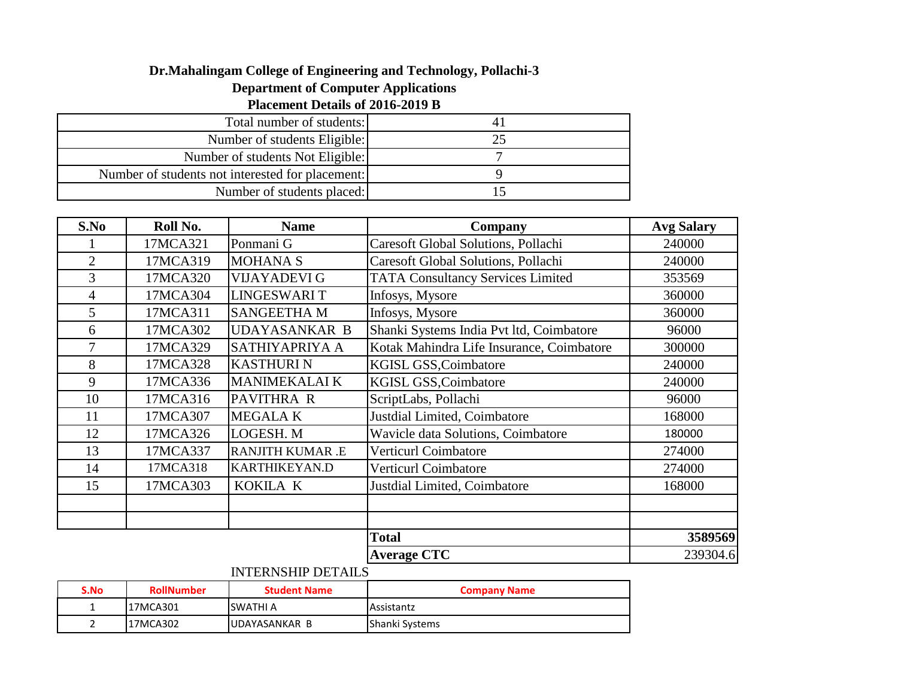## **Dr.Mahalingam College of Engineering and Technology, Pollachi-3**

## **Department of Computer Applications**

## **Placement Details of 2016-2019 B**

| Total number of students:                        |  |
|--------------------------------------------------|--|
| Number of students Eligible:                     |  |
| Number of students Not Eligible:                 |  |
| Number of students not interested for placement: |  |
| Number of students placed:                       |  |

| S.No           | Roll No. | <b>Name</b>             | Company                                    | <b>Avg Salary</b> |
|----------------|----------|-------------------------|--------------------------------------------|-------------------|
|                | 17MCA321 | Ponmani G               | <b>Caresoft Global Solutions, Pollachi</b> | 240000            |
| $\overline{2}$ | 17MCA319 | <b>MOHANA S</b>         | <b>Caresoft Global Solutions, Pollachi</b> | 240000            |
| 3              | 17MCA320 | <b>VIJAYADEVI G</b>     | <b>TATA Consultancy Services Limited</b>   | 353569            |
| 4              | 17MCA304 | <b>LINGESWARIT</b>      | Infosys, Mysore                            | 360000            |
| 5              | 17MCA311 | <b>SANGEETHA M</b>      | Infosys, Mysore                            | 360000            |
| 6              | 17MCA302 | <b>UDAYASANKAR B</b>    | Shanki Systems India Pvt ltd, Coimbatore   | 96000             |
|                | 17MCA329 | <b>SATHIYAPRIYA A</b>   | Kotak Mahindra Life Insurance, Coimbatore  | 300000            |
| 8              | 17MCA328 | <b>KASTHURIN</b>        | KGISL GSS, Coimbatore                      | 240000            |
| 9              | 17MCA336 | <b>MANIMEKALAI K</b>    | KGISL GSS, Coimbatore                      | 240000            |
| 10             | 17MCA316 | PAVITHRA R              | ScriptLabs, Pollachi                       | 96000             |
| 11             | 17MCA307 | <b>MEGALAK</b>          | Justdial Limited, Coimbatore               | 168000            |
| 12             | 17MCA326 | LOGESH. M               | <b>Wavicle data Solutions, Coimbatore</b>  | 180000            |
| 13             | 17MCA337 | <b>RANJITH KUMAR .E</b> | Verticurl Coimbatore                       | 274000            |
| 14             | 17MCA318 | <b>KARTHIKEYAN.D</b>    | <b>Verticurl Coimbatore</b>                | 274000            |
| 15             | 17MCA303 | KOKILA K                | Justdial Limited, Coimbatore               | 168000            |
|                |          |                         |                                            |                   |
|                |          |                         |                                            |                   |
|                |          |                         | <b>Total</b>                               | 3589569           |
|                |          |                         | <b>Average CTC</b>                         | 239304.6          |

## INTERNSHIP DETAILS

| S.No | <b>RollNumber</b> | <b>Student Name</b> | <b>Company Name</b> |
|------|-------------------|---------------------|---------------------|
|      | l17MCA301         | <b>SWATHI A</b>     | Assistantz          |
|      | <b>I</b> 17MCA302 | UDAYASANKAR B       | Shanki Systems      |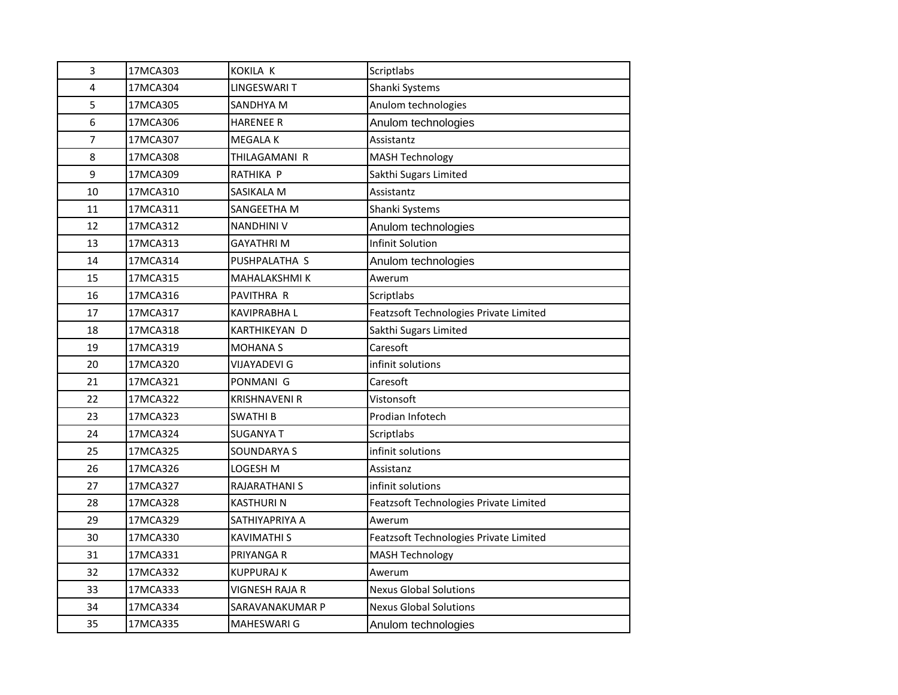| 3  | 17MCA303 | KOKILA K             | Scriptlabs                             |
|----|----------|----------------------|----------------------------------------|
| 4  | 17MCA304 | LINGESWARI T         | Shanki Systems                         |
| 5  | 17MCA305 | SANDHYA M            | Anulom technologies                    |
| 6  | 17MCA306 | <b>HARENEE R</b>     | Anulom technologies                    |
| 7  | 17MCA307 | MEGALA K             | Assistantz                             |
| 8  | 17MCA308 | THILAGAMANI R        | <b>MASH Technology</b>                 |
| 9  | 17MCA309 | RATHIKA P            | Sakthi Sugars Limited                  |
| 10 | 17MCA310 | SASIKALA M           | Assistantz                             |
| 11 | 17MCA311 | SANGEETHA M          | Shanki Systems                         |
| 12 | 17MCA312 | <b>NANDHINI V</b>    | Anulom technologies                    |
| 13 | 17MCA313 | GAYATHRI M           | <b>Infinit Solution</b>                |
| 14 | 17MCA314 | PUSHPALATHA S        | Anulom technologies                    |
| 15 | 17MCA315 | <b>MAHALAKSHMI K</b> | Awerum                                 |
| 16 | 17MCA316 | PAVITHRA R           | Scriptlabs                             |
| 17 | 17MCA317 | KAVIPRABHA L         | Featzsoft Technologies Private Limited |
| 18 | 17MCA318 | KARTHIKEYAN D        | Sakthi Sugars Limited                  |
| 19 | 17MCA319 | <b>MOHANAS</b>       | Caresoft                               |
| 20 | 17MCA320 | <b>VIJAYADEVI G</b>  | infinit solutions                      |
| 21 | 17MCA321 | PONMANI G            | Caresoft                               |
| 22 | 17MCA322 | KRISHNAVENI R        | Vistonsoft                             |
| 23 | 17MCA323 | <b>SWATHIB</b>       | Prodian Infotech                       |
| 24 | 17MCA324 | <b>SUGANYA T</b>     | Scriptlabs                             |
| 25 | 17MCA325 | SOUNDARYA S          | infinit solutions                      |
| 26 | 17MCA326 | LOGESH M             | Assistanz                              |
| 27 | 17MCA327 | RAJARATHANI S        | infinit solutions                      |
| 28 | 17MCA328 | <b>KASTHURIN</b>     | Featzsoft Technologies Private Limited |
| 29 | 17MCA329 | SATHIYAPRIYA A       | Awerum                                 |
| 30 | 17MCA330 | <b>KAVIMATHI S</b>   | Featzsoft Technologies Private Limited |
| 31 | 17MCA331 | PRIYANGA R           | <b>MASH Technology</b>                 |
| 32 | 17MCA332 | KUPPURAJ K           | Awerum                                 |
| 33 | 17MCA333 | VIGNESH RAJA R       | <b>Nexus Global Solutions</b>          |
| 34 | 17MCA334 | SARAVANAKUMAR P      | <b>Nexus Global Solutions</b>          |
| 35 | 17MCA335 | <b>MAHESWARI G</b>   | Anulom technologies                    |